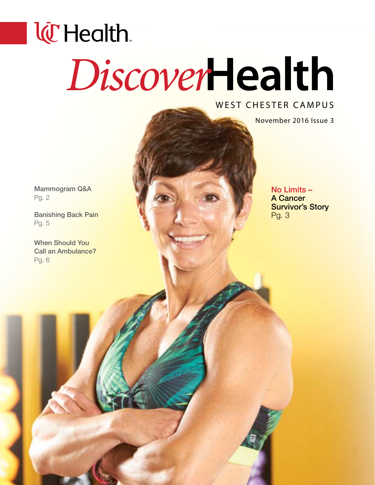# **l@Health** *Discover***Health**

### WEST CHESTER CAMPUS

November 2016 Issue 3

Mammogram Q&A Pg. 2

Banishing Back Pain Pg. 5

When Should You Call an Ambulance? Pg. 6

No Limits – A Cancer Survivor's Story

Pg. 3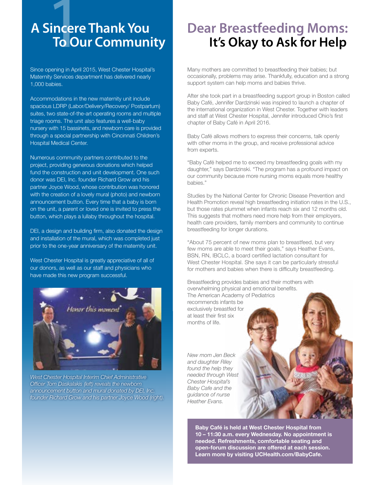## sincere<br>To Ou **A Sincere Thank You To Our Community**

Since opening in April 2015, West Chester Hospital's Maternity Services department has delivered nearly 1,000 babies.

Accommodations in the new maternity unit include spacious LDRP (Labor/Delivery/Recovery/ Postpartum) suites, two state-of-the-art operating rooms and multiple triage rooms. The unit also features a well-baby nursery with 15 bassinets, and newborn care is provided through a special partnership with Cincinnati Children's Hospital Medical Center.

Numerous community partners contributed to the project, providing generous donations which helped fund the construction and unit development. One such donor was DEI, Inc. founder Richard Grow and his partner Joyce Wood, whose contribution was honored with the creation of a lovely mural (photo) and newborn announcement button. Every time that a baby is born on the unit, a parent or loved one is invited to press the button, which plays a lullaby throughout the hospital.

DEI, a design and building firm, also donated the design and installation of the mural, which was completed just prior to the one-year anniversary of the maternity unit.

West Chester Hospital is greatly appreciative of all of our donors, as well as our staff and physicians who have made this new program successful.



*West Chester Hospital Interim Chief Administrative Officer Tom Daskalakis (left) reveals the newborn announcement button and mural donated by DEI, Inc. founder Richard Grow and his partner Joyce Wood (right).* 

### **Dear Breastfeeding Moms: It's Okay to Ask for Help**

Many mothers are committed to breastfeeding their babies; but occasionally, problems may arise. Thankfully, education and a strong support system can help moms and babies thrive.

After she took part in a breastfeeding support group in Boston called Baby Café, Jennifer Dardzinski was inspired to launch a chapter of the international organization in West Chester. Together with leaders and staff at West Chester Hospital, Jennifer introduced Ohio's first chapter of Baby Café in April 2016.

Baby Café allows mothers to express their concerns, talk openly with other moms in the group, and receive professional advice from experts.

"Baby Café helped me to exceed my breastfeeding goals with my daughter," says Dardzinski. "The program has a profound impact on our community because more nursing moms equals more healthy babies."

Studies by the National Center for Chronic Disease Prevention and Health Promotion reveal high breastfeeding initiation rates in the U.S., but those rates plummet when infants reach six and 12 months old. This suggests that mothers need more help from their employers, health care providers, family members and community to continue breastfeeding for longer durations.

"About 75 percent of new moms plan to breastfeed, but very few moms are able to meet their goals," says Heather Evans, BSN, RN, IBCLC, a board certified lactation consultant for West Chester Hospital. She says it can be particularly stressful for mothers and babies when there is difficulty breastfeeding.

Breastfeeding provides babies and their mothers with overwhelming physical and emotional benefits.

The American Academy of Pediatrics recommends infants be exclusively breastfed for at least their first six months of life.

*New mom Jen Beck and daughter Riley found the help they needed through West Chester Hospital's Baby Cafe and the guidance of nurse Heather Evans.*

> **Baby Café is held at West Chester Hospital from 10 – 11:30 a.m. every Wednesday. No appointment is needed. Refreshments, comfortable seating and open-forum discussion are offered at each session. Learn more by visiting [UCHealth.com/BabyCafe.](http://UCHealth.com/BabyCafe)**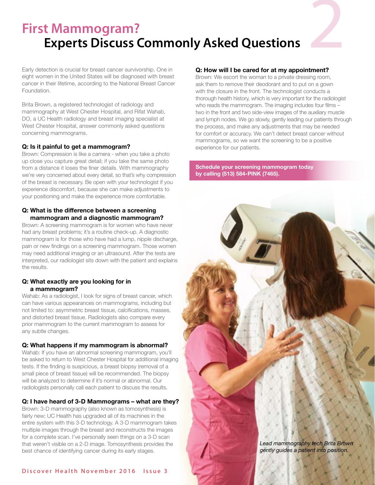### **First Mammogram? Experts Discuss Commonly Asked Questions**

Early detection is crucial for breast cancer survivorship. One in eight women in the United States will be diagnosed with breast cancer in their lifetime, according to the National Breast Cancer Foundation.

Brita Brown, a registered technologist of radiology and mammography at West Chester Hospital, and Rifat Wahab, DO, a UC Health radiology and breast imaging specialist at West Chester Hospital, answer commonly asked questions concerning mammograms.

### **Q: Is it painful to get a mammogram?**

Brown: Compression is like a camera - when you take a photo up close you capture great detail; if you take the same photo from a distance it loses the finer details. With mammography we're very concerned about every detail, so that's why compression of the breast is necessary. Be open with your technologist if you experience discomfort, because she can make adjustments to your positioning and make the experience more comfortable.

### **Q: What is the difference between a screening mammogram and a diagnostic mammogram?**

Brown: A screening mammogram is for women who have never had any breast problems; it's a routine check-up. A diagnostic mammogram is for those who have had a lump, nipple discharge, pain or new findings on a screening mammogram. Those women may need additional imaging or an ultrasound. After the tests are interpreted, our radiologist sits down with the patient and explains the results.

### **Q: What exactly are you looking for in a mammogram?**

Wahab: As a radiologist, I look for signs of breast cancer, which can have various appearances on mammograms, including but not limited to: asymmetric breast tissue, calcifications, masses, and distorted breast tissue. Radiologists also compare every prior mammogram to the current mammogram to assess for any subtle changes.

### **Q: What happens if my mammogram is abnormal?**

Wahab: If you have an abnormal screening mammogram, you'll be asked to return to West Chester Hospital for additional imaging tests. If the finding is suspicious, a breast biopsy (removal of a small piece of breast tissue) will be recommended. The biopsy will be analyzed to determine if it's normal or abnormal. Our radiologists personally call each patient to discuss the results.

### **Q: I have heard of 3-D Mammograms – what are they?**

Brown: 3-D mammography (also known as tomosynthesis) is fairly new; UC Health has upgraded all of its machines in the entire system with this 3-D technology. A 3-D mammogram takes multiple images through the breast and reconstructs the images for a complete scan. I've personally seen things on a 3-D scan that weren't visible on a 2-D image. Tomosynthesis provides the best chance of identifying cancer during its early stages.

### **Q: How will I be cared for at my appointment?**

Brown: We escort the woman to a private dressing room, ask them to remove their deodorant and to put on a gown with the closure in the front. The technologist conducts a thorough health history, which is very important for the radiologist who reads the mammogram. The imaging includes four films – two in the front and two side-view images of the auxiliary muscle and lymph nodes. We go slowly, gently leading our patients through the process, and make any adjustments that may be needed for comfort or accuracy. We can't detect breast cancer without mammograms, so we want the screening to be a positive experience for our patients.

### **Schedule your screening mammogram today by calling (513) 584-PINK (7465).**

*Lead mammography tech Brita Brown gently guides a patient into position.*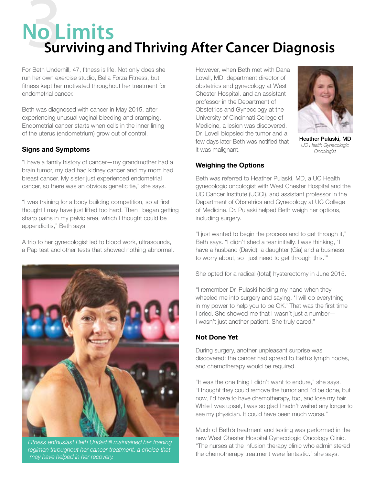## No L **No Limits Surviving and Thriving After Cancer Diagnosis**

For Beth Underhill, 47, fitness is life. Not only does she run her own exercise studio, Bella Forza Fitness, but fitness kept her motivated throughout her treatment for endometrial cancer.

Beth was diagnosed with cancer in May 2015, after experiencing unusual vaginal bleeding and cramping. Endometrial cancer starts when cells in the inner lining of the uterus (endometrium) grow out of control.

### **Signs and Symptoms**

"I have a family history of cancer—my grandmother had a brain tumor, my dad had kidney cancer and my mom had breast cancer. My sister just experienced endometrial cancer, so there was an obvious genetic tie," she says.

"I was training for a body building competition, so at first I thought I may have just lifted too hard. Then I began getting sharp pains in my pelvic area, which I thought could be appendicitis," Beth says.

A trip to her gynecologist led to blood work, ultrasounds, a Pap test and other tests that showed nothing abnormal.



*Fitness enthusiast Beth Underhill maintained her training regimen throughout her cancer treatment, a choice that may have helped in her recovery.*

However, when Beth met with Dana Lovell, MD, department director of obstetrics and gynecology at West Chester Hospital, and an assistant professor in the Department of Obstetrics and Gynecology at the University of Cincinnati College of Medicine, a lesion was discovered. Dr. Lovell biopsied the tumor and a few days later Beth was notified that it was malignant.



Heather Pulaski, MD *UC Health Gynecologic Oncologist*

### **Weighing the Options**

Beth was referred to Heather Pulaski, MD, a UC Health gynecologic oncologist with West Chester Hospital and the UC Cancer Institute (UCCI), and assistant professor in the Department of Obstetrics and Gynecology at UC College of Medicine. Dr. Pulaski helped Beth weigh her options, including surgery.

"I just wanted to begin the process and to get through it," Beth says. "I didn't shed a tear initially. I was thinking, 'I have a husband (David), a daughter (Gia) and a business to worry about, so I just need to get through this.'"

She opted for a radical (total) hysterectomy in June 2015.

"I remember Dr. Pulaski holding my hand when they wheeled me into surgery and saying, 'I will do everything in my power to help you to be OK.' That was the first time I cried. She showed me that I wasn't just a number— I wasn't just another patient. She truly cared."

### **Not Done Yet**

During surgery, another unpleasant surprise was discovered: the cancer had spread to Beth's lymph nodes, and chemotherapy would be required.

"It was the one thing I didn't want to endure," she says. "I thought they could remove the tumor and I'd be done, but now, I'd have to have chemotherapy, too, and lose my hair. While I was upset, I was so glad I hadn't waited any longer to see my physician. It could have been much worse."

Much of Beth's treatment and testing was performed in the new West Chester Hospital Gynecologic Oncology Clinic. "The nurses at the infusion therapy clinic who administered the chemotherapy treatment were fantastic." she says.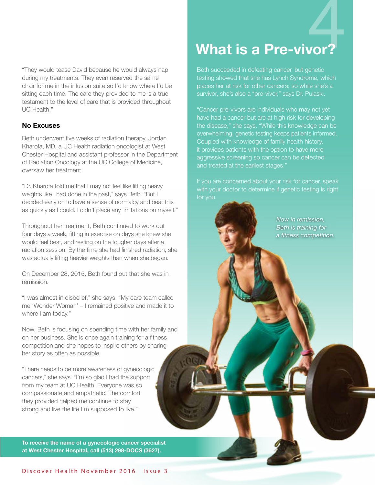"They would tease David because he would always nap during my treatments. They even reserved the same chair for me in the infusion suite so I'd know where I'd be sitting each time. The care they provided to me is a true testament to the level of care that is provided throughout UC Health."

### **No Excuses**

Beth underwent five weeks of radiation therapy. Jordan Kharofa, MD, a UC Health radiation oncologist at West Chester Hospital and assistant professor in the Department of Radiation Oncology at the UC College of Medicine, oversaw her treatment.

"Dr. Kharofa told me that I may not feel like lifting heavy weights like I had done in the past," says Beth. "But I decided early on to have a sense of normalcy and beat this as quickly as I could. I didn't place any limitations on myself."

Throughout her treatment, Beth continued to work out four days a week, fitting in exercise on days she knew she would feel best, and resting on the tougher days after a radiation session. By the time she had finished radiation, she was actually lifting heavier weights than when she began.

On December 28, 2015, Beth found out that she was in remission.

"I was almost in disbelief," she says. "My care team called me 'Wonder Woman' – I remained positive and made it to where I am today."

Now, Beth is focusing on spending time with her family and on her business. She is once again training for a fitness competition and she hopes to inspire others by sharing her story as often as possible.

"There needs to be more awareness of gynecologic cancers," she says. "I'm so glad I had the support from my team at UC Health. Everyone was so compassionate and empathetic. The comfort they provided helped me continue to stay strong and live the life I'm supposed to live."

**To receive the name of a gynecologic cancer specialist at West Chester Hospital, call (513) 298-DOCS (3627).** 

# 4 **What is a Pre-vivor?**

Beth succeeded in defeating cancer, but genetic testing showed that she has Lynch Syndrome, which places her at risk for other cancers; so while she's a

"Cancer pre-vivors are individuals who may not yet have had a cancer but are at high risk for developing the disease," she says. "While this knowledge can be overwhelming, genetic testing keeps patients informed. Coupled with knowledge of family health history, it provides patients with the option to have more aggressive screening so cancer can be detected and treated at the earliest stages."

with your doctor to determine if genetic testing is right

*Now in remission, Beth is training for a fitness competition.*

Discover Health November 2016 Issue 3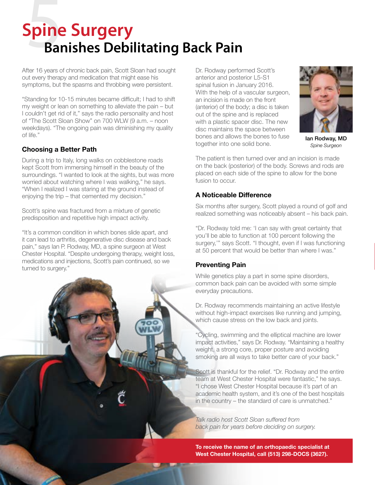# **Spine Surgery<br>
5Banishes Debilitating Back Pain**

After 16 years of chronic back pain, Scott Sloan had sought out every therapy and medication that might ease his symptoms, but the spasms and throbbing were persistent.

"Standing for 10-15 minutes became difficult; I had to shift my weight or lean on something to alleviate the pain – but I couldn't get rid of it," says the radio personality and host of "The Scott Sloan Show" on 700 WLW (9 a.m. – noon weekdays). "The ongoing pain was diminishing my quality of life."

### **Choosing a Better Path**

During a trip to Italy, long walks on cobblestone roads kept Scott from immersing himself in the beauty of the surroundings. "I wanted to look at the sights, but was more worried about watching where I was walking," he says. "When I realized I was staring at the ground instead of enjoying the trip – that cemented my decision."

Scott's spine was fractured from a mixture of genetic predisposition and repetitive high impact activity.

"It's a common condition in which bones slide apart, and it can lead to arthritis, degenerative disc disease and back pain," says Ian P. Rodway, MD, a spine surgeon at West Chester Hospital. "Despite undergoing therapy, weight loss, medications and injections, Scott's pain continued, so we turned to surgery."

Dr. Rodway performed Scott's anterior and posterior L5-S1 spinal fusion in January 2016. With the help of a vascular surgeon, an incision is made on the front (anterior) of the body; a disc is taken out of the spine and is replaced with a plastic spacer disc. The new disc maintains the space between bones and allows the bones to fuse together into one solid bone.



Ian Rodway, MD *Spine Surgeon*

The patient is then turned over and an incision is made on the back (posterior) of the body. Screws and rods are placed on each side of the spine to allow for the bone fusion to occur.

### **A Noticeable Difference**

Six months after surgery, Scott played a round of golf and realized something was noticeably absent – his back pain.

"Dr. Rodway told me: 'I can say with great certainty that you'll be able to function at 100 percent following the surgery,'" says Scott. "I thought, even if I was functioning at 50 percent that would be better than where I was."

### **Preventing Pain**

While genetics play a part in some spine disorders, common back pain can be avoided with some simple everyday precautions.

Dr. Rodway recommends maintaining an active lifestyle without high-impact exercises like running and jumping, which cause stress on the low back and joints.

"Cycling, swimming and the elliptical machine are lower impact activities," says Dr. Rodway. "Maintaining a healthy weight, a strong core, proper posture and avoiding smoking are all ways to take better care of your back."

Scott is thankful for the relief. "Dr. Rodway and the entire team at West Chester Hospital were fantastic," he says. "I chose West Chester Hospital because it's part of an academic health system, and it's one of the best hospitals in the country – the standard of care is unmatched."

*Talk radio host Scott Sloan suffered from back pain for years before deciding on surgery.*

**To receive the name of an orthopaedic specialist at West Chester Hospital, call (513) 298-DOCS (3627).**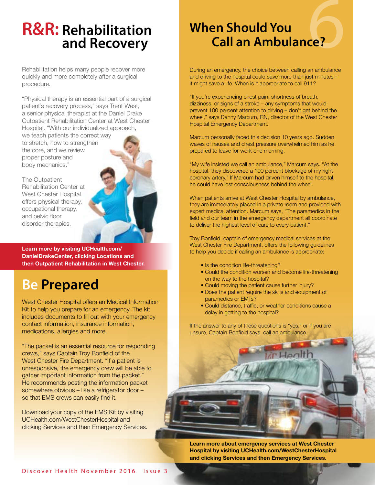### **R&R: Rehabilitation and Recovery**

Rehabilitation helps many people recover more quickly and more completely after a surgical procedure.

"Physical therapy is an essential part of a surgical patient's recovery process," says Trent West, a senior physical therapist at the Daniel Drake Outpatient Rehabilitation Center at West Chester Hospital. "With our individualized approach,

we teach patients the correct way to stretch, how to strengthen the core, and we review proper posture and body mechanics."

The Outpatient Rehabilitation Center at West Chester Hospital offers physical therapy, occupational therapy, and pelvic floor disorder therapies.

**Learn more by visiting [UCHealth.com/](http://UCHealth.com/ DanielDrakeCenter) [DanielDrakeCenter,](http://UCHealth.com/ DanielDrakeCenter) clicking Locations and then Outpatient Rehabilitation in West Chester.**

### **Be Prepared**

West Chester Hospital offers an Medical Information Kit to help you prepare for an emergency. The kit includes documents to fill out with your emergency contact information, insurance information, medications, allergies and more.

"The packet is an essential resource for responding crews," says Captain Troy Bonfield of the West Chester Fire Department. "If a patient is unresponsive, the emergency crew will be able to gather important information from the packet." He recommends posting the information packet somewhere obvious – like a refrigerator door – so that EMS crews can easily find it.

Download your copy of the EMS Kit by visiting UCHealth.com/WestChesterHospital and clicking Services and then Emergency Services.

## **6 When Should You Call an Ambulance?**

During an emergency, the choice between calling an ambulance and driving to the hospital could save more than just minutes – it might save a life. When is it appropriate to call 911?

"If you're experiencing chest pain, shortness of breath, dizziness, or signs of a stroke – any symptoms that would prevent 100 percent attention to driving – don't get behind the wheel," says Danny Marcum, RN, director of the West Chester Hospital Emergency Department.

Marcum personally faced this decision 10 years ago. Sudden waves of nausea and chest pressure overwhelmed him as he prepared to leave for work one morning.

"My wife insisted we call an ambulance," Marcum says. "At the hospital, they discovered a 100 percent blockage of my right coronary artery." If Marcum had driven himself to the hospital, he could have lost consciousness behind the wheel.

When patients arrive at West Chester Hospital by ambulance, they are immediately placed in a private room and provided with expert medical attention. Marcum says, "The paramedics in the field and our team in the emergency department all coordinate to deliver the highest level of care to every patient."

Troy Bonfield, captain of emergency medical services at the West Chester Fire Department, offers the following guidelines to help you decide if calling an ambulance is appropriate:

- Is the condition life-threatening?
- Could the condition worsen and become life-threatening on the way to the hospital?
- Could moving the patient cause further injury?
- Does the patient require the skills and equipment of paramedics or EMTs?
- Could distance, traffic, or weather conditions cause a delay in getting to the hospital?

If the answer to any of these questions is "yes," or if you are unsure, Captain Bonfield says, call an ambulance.

**Learn more about emergency services at West Chester Hospital by visiting [UCHealth.com/WestChesterHospital](http://UCHealth.com/WestChesterHospital)  and clicking Services and then Emergency Services.**